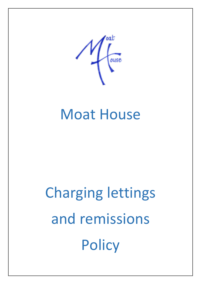

# Moat House

# Charging lettings and remissions **Policy**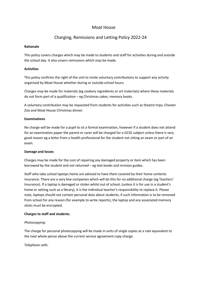# Moat House

# Charging, Remissions and Letting Policy 2022-24

#### **Rationale**

This policy covers charges which may be made to students and staff for activities during and outside the school day. It also covers remissions which may be made.

#### **Activities**

This policy confirms the right of the unit to invite voluntary contributions to support any activity organised by Moat House whether during or outside school hours.

Charges may be made for materials (eg cookery ingredients or art materials) where these materials do not form part of a qualification – eg Christmas cakes, memory books.

A voluntary contribution may be requested from students for activities such as theatre trips, Chester Zoo and Moat House Christmas dinner.

#### **Examinations**

No charge will be made for a pupil to sit a formal examination, however if a student does not attend for an examination paper the parent or carer will be charged for a GCSE subject unless there is very good reason eg a letter from a health professional for the student not sitting an exam or part of an exam.

#### **Damage and losses**

Charges may be made for the cost of repairing any damaged property or item which has been borrowed by the student and not returned – eg text books and revision guides.

Staff who take school laptops home are advised to have them covered by their home contents insurance. There are a very few companies which will do this for no additional charge (eg Teachers' Insurance). If a laptop is damaged or stolen whilst out of school, (unless it is for use in a student's home or setting such as a library), it is the individual teacher's responsibility to replace it. Please note, laptops should not contain personal data about students; if such information is to be removed from school for any reason (for example to write reports), the laptop and any associated memory sticks must be encrypted.

#### **Charges to staff and students.**

#### *Photocopying:*

The charge for personal photocopying will be made in units of single copies at a rate equivalent to the next whole pence above the current service agreement copy charge.

#### *Telephone calls:*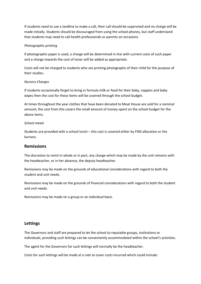If students need to use a landline to make a call, their call should be supervised and no charge will be made initially. Students should be discouraged from using the school phones, but staff understand that students may need to call health professionals or parents on occasions.

#### *Photographic printing*

If photographic paper is used, a charge will be determined in line with current costs of such paper and a charge towards the cost of toner will be added as appropriate.

Costs will not be charged to students who are printing photographs of their child for the purpose of their studies.

#### *Nursery Charges*

If students occasionally forget to bring in formula milk or food for their baby, nappies and baby wipes then the cost for these items will be covered through the school budget.

At times throughout the year clothes that have been donated to Moat House are sold for a nominal amount; the cost from this covers the small amount of money spent on the school budget for the above items.

#### *School meals*

Students are provided with a school lunch – this cost is covered either by FSM allocation or the bursary.

## **Remissions**

The discretion to remit in whole or in part, any charge which may be made by the unit remains with the headteacher, or in her absence, the deputy headteacher.

Remissions may be made on the grounds of educational considerations with regard to both the student and unit needs.

Remissions may be made on the grounds of financial considerations with regard to both the student and unit needs.

Remissions may be made on a group or an individual basis.

## **Lettings**

The Governors and staff are prepared to let the school to reputable groups, institutions or individuals, providing such lettings can be conveniently accommodated within the school's activities.

The agent for the Governors for such lettings will normally be the headteacher.

Costs for such lettings will be made at a rate to cover costs incurred which could include: